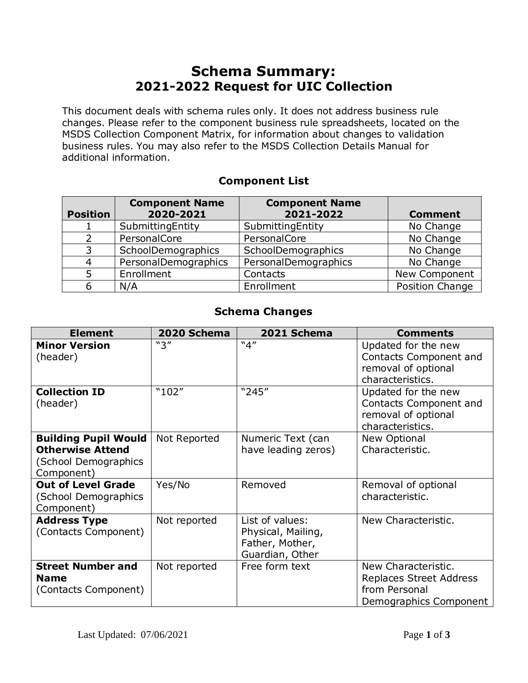## **Schema Summary: 2021-2022 Request for UIC Collection**

This document deals with schema rules only. It does not address business rule changes. Please refer to the component business rule spreadsheets, located on the MSDS Collection Component Matrix, for information about changes to validation business rules. You may also refer to the MSDS Collection Details Manual for additional information.

## **Component List**

| <b>Position</b> | <b>Component Name</b><br>2020-2021 | <b>Component Name</b><br>2021-2022 | <b>Comment</b>  |
|-----------------|------------------------------------|------------------------------------|-----------------|
|                 | SubmittingEntity                   | SubmittingEntity                   | No Change       |
|                 | PersonalCore                       | PersonalCore                       | No Change       |
| 3               | SchoolDemographics                 | SchoolDemographics                 | No Change       |
| 4               | PersonalDemographics               | PersonalDemographics               | No Change       |
| 5               | Enrollment                         | Contacts                           | New Component   |
| 6               | N/A                                | Enrollment                         | Position Change |

## **Schema Changes**

| <b>Element</b>                                                                               | 2020 Schema  | 2021 Schema                                                                 | <b>Comments</b>                                                                           |
|----------------------------------------------------------------------------------------------|--------------|-----------------------------------------------------------------------------|-------------------------------------------------------------------------------------------|
| <b>Minor Version</b><br>(header)                                                             | "3"          | "4"                                                                         | Updated for the new<br>Contacts Component and<br>removal of optional<br>characteristics.  |
| <b>Collection ID</b><br>(header)                                                             | "102"        | "245"                                                                       | Updated for the new<br>Contacts Component and<br>removal of optional<br>characteristics.  |
| <b>Building Pupil Would</b><br><b>Otherwise Attend</b><br>(School Demographics<br>Component) | Not Reported | Numeric Text (can<br>have leading zeros)                                    | New Optional<br>Characteristic.                                                           |
| <b>Out of Level Grade</b><br>(School Demographics<br>Component)                              | Yes/No       | Removed                                                                     | Removal of optional<br>characteristic.                                                    |
| <b>Address Type</b><br>(Contacts Component)                                                  | Not reported | List of values:<br>Physical, Mailing,<br>Father, Mother,<br>Guardian, Other | New Characteristic.                                                                       |
| <b>Street Number and</b><br><b>Name</b><br>(Contacts Component)                              | Not reported | Free form text                                                              | New Characteristic.<br>Replaces Street Address<br>from Personal<br>Demographics Component |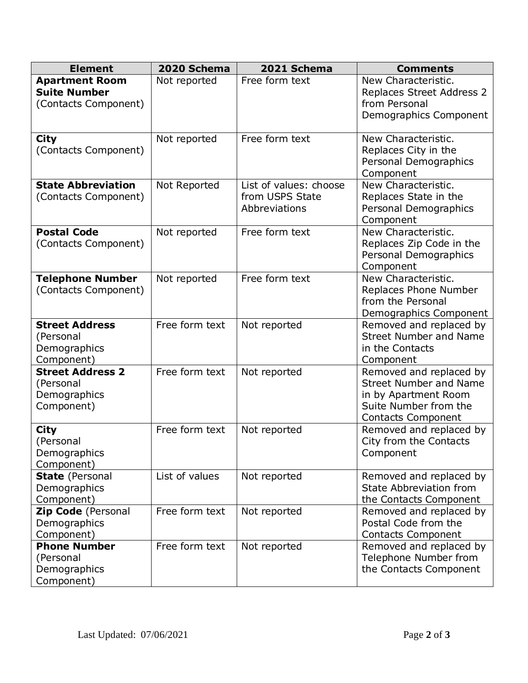| <b>Element</b>                                                       | 2020 Schema    | 2021 Schema                                                | <b>Comments</b>                                                                                                                        |
|----------------------------------------------------------------------|----------------|------------------------------------------------------------|----------------------------------------------------------------------------------------------------------------------------------------|
| <b>Apartment Room</b><br><b>Suite Number</b><br>(Contacts Component) | Not reported   | Free form text                                             | New Characteristic.<br>Replaces Street Address 2<br>from Personal<br>Demographics Component                                            |
| <b>City</b><br>(Contacts Component)                                  | Not reported   | Free form text                                             | New Characteristic.<br>Replaces City in the<br>Personal Demographics<br>Component                                                      |
| <b>State Abbreviation</b><br>(Contacts Component)                    | Not Reported   | List of values: choose<br>from USPS State<br>Abbreviations | New Characteristic.<br>Replaces State in the<br>Personal Demographics<br>Component                                                     |
| <b>Postal Code</b><br>(Contacts Component)                           | Not reported   | Free form text                                             | New Characteristic.<br>Replaces Zip Code in the<br>Personal Demographics<br>Component                                                  |
| <b>Telephone Number</b><br>(Contacts Component)                      | Not reported   | Free form text                                             | New Characteristic.<br>Replaces Phone Number<br>from the Personal<br>Demographics Component                                            |
| <b>Street Address</b><br>(Personal<br>Demographics<br>Component)     | Free form text | Not reported                                               | Removed and replaced by<br><b>Street Number and Name</b><br>in the Contacts<br>Component                                               |
| <b>Street Address 2</b><br>(Personal<br>Demographics<br>Component)   | Free form text | Not reported                                               | Removed and replaced by<br><b>Street Number and Name</b><br>in by Apartment Room<br>Suite Number from the<br><b>Contacts Component</b> |
| <b>City</b><br>(Personal<br>Demographics<br>Component)               | Free form text | Not reported                                               | Removed and replaced by<br>City from the Contacts<br>Component                                                                         |
| <b>State (Personal</b><br>Demographics<br>Component)                 | List of values | Not reported                                               | Removed and replaced by<br><b>State Abbreviation from</b><br>the Contacts Component                                                    |
| Zip Code (Personal<br>Demographics<br>Component)                     | Free form text | Not reported                                               | Removed and replaced by<br>Postal Code from the<br><b>Contacts Component</b>                                                           |
| <b>Phone Number</b><br>(Personal<br>Demographics<br>Component)       | Free form text | Not reported                                               | Removed and replaced by<br>Telephone Number from<br>the Contacts Component                                                             |